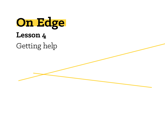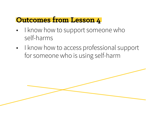## **Outcomes from Lesson 4**

- I know how to support someone who self-harms
- I know how to access professional support for someone who is using self-harm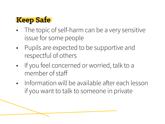## **Keep Safe**

- The topic of self-harm can be a very sensitive issue for some people
- Pupils are expected to be supportive and respectful of others
- If you feel concerned or worried, talk to a member of staff
- Information will be available after each lesson if you want to talk to someone in private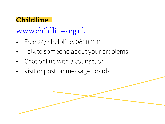## **Childline**

www.childline.org.uk

- Free 24/7 helpline, 0800 11 11
- Talk to someone about your problems
- Chat online with a counsellor
- Visit or post on message boards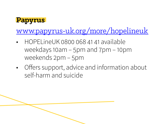

## www.papyrus-uk.org/more/hopelineuk

- HOPELineUK 0800 068 41 41 available weekdays 10am – 5pm and 7pm – 10pm weekends 2pm – 5pm
- Offers support, advice and information about self-harm and suicide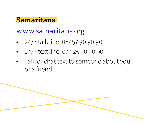### **Samaritans**

www.samaritans.org

- 24/7 talk line, 08457 90 90 90
- 24/7 text line, 077 25 90 90 90
- Talk or chat text to someone about you or a friend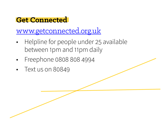## **Get Connected**

www.getconnected.org.uk

- Helpline for people under 25 available between 1pm and 11pm daily
- Freephone 0808 808 4994
- Text us on 80849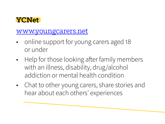### **YCNet**

#### www.youngcarers.net

- online support for young carers aged 18 or under
- Help for those looking after family members with an illness, disability, drug/alcohol addiction or mental health condition
- Chat to other young carers, share stories and hear about each others' experiences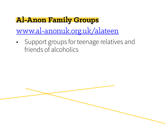# **Al-Anon Family Groups**  www.al-anonuk.org.uk/alateen

• Support groups for teenage relatives and friends of alcoholics